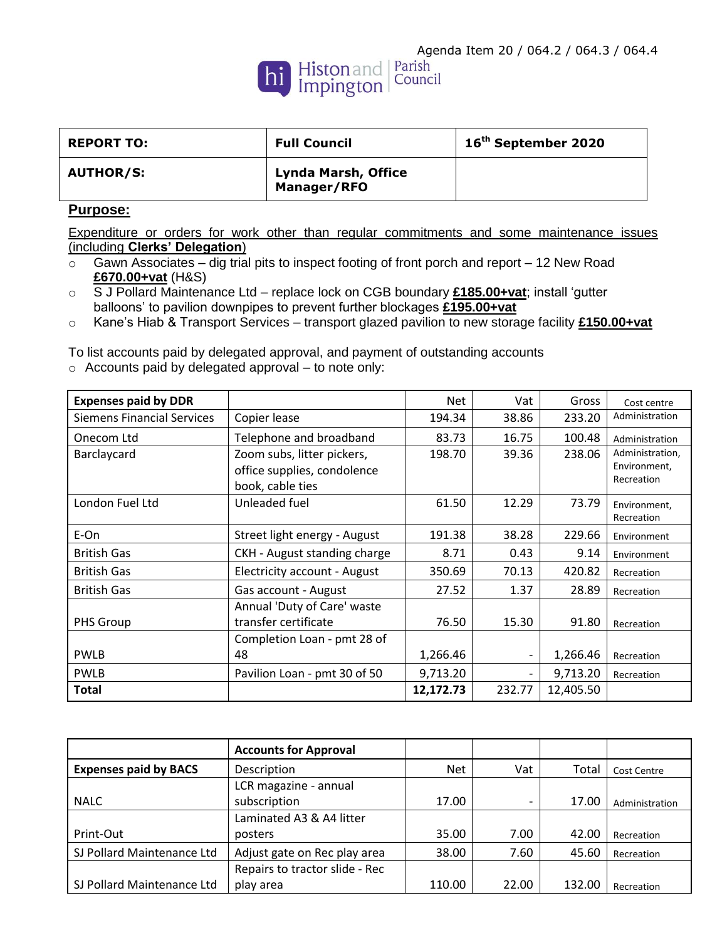

| <b>REPORT TO:</b> | <b>Full Council</b>                       | 16 <sup>th</sup> September 2020 |
|-------------------|-------------------------------------------|---------------------------------|
| <b>AUTHOR/S:</b>  | Lynda Marsh, Office<br><b>Manager/RFO</b> |                                 |

## **Purpose:**

Expenditure or orders for work other than regular commitments and some maintenance issues (including **Clerks' Delegation**)

- $\circ$  Gawn Associates dig trial pits to inspect footing of front porch and report 12 New Road **£670.00+vat** (H&S)
- o S J Pollard Maintenance Ltd replace lock on CGB boundary **£185.00+vat**; install 'gutter balloons' to pavilion downpipes to prevent further blockages **£195.00+vat**
- o Kane's Hiab & Transport Services transport glazed pavilion to new storage facility **£150.00+vat**

To list accounts paid by delegated approval, and payment of outstanding accounts o Accounts paid by delegated approval – to note only:

| <b>Expenses paid by DDR</b>       |                                                                               | <b>Net</b> | Vat                      | Gross     | Cost centre                                   |
|-----------------------------------|-------------------------------------------------------------------------------|------------|--------------------------|-----------|-----------------------------------------------|
| <b>Siemens Financial Services</b> | Copier lease                                                                  | 194.34     | 38.86                    | 233.20    | Administration                                |
| Onecom Ltd                        | Telephone and broadband                                                       | 83.73      | 16.75                    | 100.48    | Administration                                |
| Barclaycard                       | Zoom subs, litter pickers,<br>office supplies, condolence<br>book, cable ties | 198.70     | 39.36                    | 238.06    | Administration,<br>Environment,<br>Recreation |
| London Fuel Ltd                   | Unleaded fuel                                                                 | 61.50      | 12.29                    | 73.79     | Environment,<br>Recreation                    |
| E-On                              | Street light energy - August                                                  | 191.38     | 38.28                    | 229.66    | Environment                                   |
| <b>British Gas</b>                | CKH - August standing charge                                                  | 8.71       | 0.43                     | 9.14      | Environment                                   |
| <b>British Gas</b>                | Electricity account - August                                                  | 350.69     | 70.13                    | 420.82    | Recreation                                    |
| <b>British Gas</b>                | Gas account - August                                                          | 27.52      | 1.37                     | 28.89     | Recreation                                    |
| PHS Group                         | Annual 'Duty of Care' waste<br>transfer certificate                           | 76.50      | 15.30                    | 91.80     | Recreation                                    |
|                                   | Completion Loan - pmt 28 of                                                   |            |                          |           |                                               |
| <b>PWLB</b>                       | 48                                                                            | 1,266.46   |                          | 1,266.46  | Recreation                                    |
| <b>PWLB</b>                       | Pavilion Loan - pmt 30 of 50                                                  | 9,713.20   | $\overline{\phantom{0}}$ | 9,713.20  | Recreation                                    |
| <b>Total</b>                      |                                                                               | 12,172.73  | 232.77                   | 12,405.50 |                                               |

|                              | <b>Accounts for Approval</b>   |            |       |        |                |
|------------------------------|--------------------------------|------------|-------|--------|----------------|
| <b>Expenses paid by BACS</b> | Description                    | <b>Net</b> | Vat   | Total  | Cost Centre    |
|                              | LCR magazine - annual          |            |       |        |                |
| <b>NALC</b>                  | subscription                   | 17.00      |       | 17.00  | Administration |
|                              | Laminated A3 & A4 litter       |            |       |        |                |
| Print-Out                    | posters                        | 35.00      | 7.00  | 42.00  | Recreation     |
| SJ Pollard Maintenance Ltd   | Adjust gate on Rec play area   | 38.00      | 7.60  | 45.60  | Recreation     |
|                              | Repairs to tractor slide - Rec |            |       |        |                |
| SJ Pollard Maintenance Ltd   | play area                      | 110.00     | 22.00 | 132.00 | Recreation     |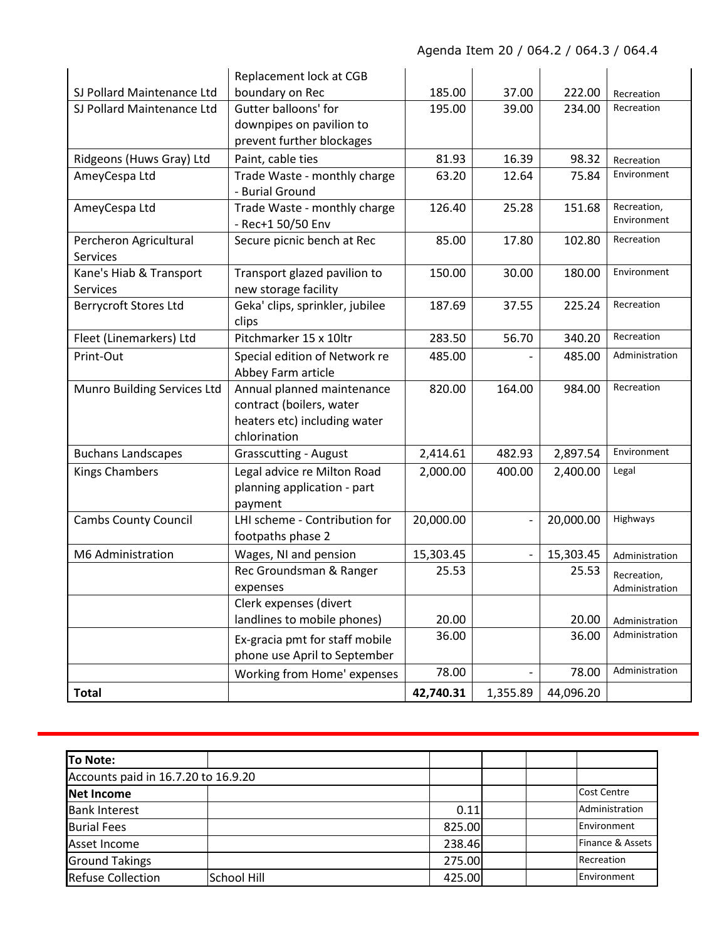|                              | Replacement lock at CGB         |           |                          |           |                |
|------------------------------|---------------------------------|-----------|--------------------------|-----------|----------------|
| SJ Pollard Maintenance Ltd   | boundary on Rec                 | 185.00    | 37.00                    | 222.00    | Recreation     |
| SJ Pollard Maintenance Ltd   | <b>Gutter balloons' for</b>     | 195.00    | 39.00                    | 234.00    | Recreation     |
|                              | downpipes on pavilion to        |           |                          |           |                |
|                              | prevent further blockages       |           |                          |           |                |
| Ridgeons (Huws Gray) Ltd     | Paint, cable ties               | 81.93     | 16.39                    | 98.32     | Recreation     |
| AmeyCespa Ltd                | Trade Waste - monthly charge    | 63.20     | 12.64                    | 75.84     | Environment    |
|                              | - Burial Ground                 |           |                          |           |                |
| AmeyCespa Ltd                | Trade Waste - monthly charge    | 126.40    | 25.28                    | 151.68    | Recreation,    |
|                              | - Rec+1 50/50 Env               |           |                          |           | Environment    |
| Percheron Agricultural       | Secure picnic bench at Rec      | 85.00     | 17.80                    | 102.80    | Recreation     |
| Services                     |                                 |           |                          |           |                |
| Kane's Hiab & Transport      | Transport glazed pavilion to    | 150.00    | 30.00                    | 180.00    | Environment    |
| Services                     | new storage facility            |           |                          |           |                |
| <b>Berrycroft Stores Ltd</b> | Geka' clips, sprinkler, jubilee | 187.69    | 37.55                    | 225.24    | Recreation     |
|                              | clips                           |           |                          |           |                |
| Fleet (Linemarkers) Ltd      | Pitchmarker 15 x 10ltr          | 283.50    | 56.70                    | 340.20    | Recreation     |
| Print-Out                    | Special edition of Network re   | 485.00    |                          | 485.00    | Administration |
|                              | Abbey Farm article              |           |                          |           |                |
| Munro Building Services Ltd  | Annual planned maintenance      | 820.00    | 164.00                   | 984.00    | Recreation     |
|                              | contract (boilers, water        |           |                          |           |                |
|                              | heaters etc) including water    |           |                          |           |                |
|                              | chlorination                    |           |                          |           |                |
| <b>Buchans Landscapes</b>    | <b>Grasscutting - August</b>    | 2,414.61  | 482.93                   | 2,897.54  | Environment    |
| <b>Kings Chambers</b>        | Legal advice re Milton Road     | 2,000.00  | 400.00                   | 2,400.00  | Legal          |
|                              | planning application - part     |           |                          |           |                |
|                              | payment                         |           |                          |           |                |
| <b>Cambs County Council</b>  | LHI scheme - Contribution for   | 20,000.00 |                          | 20,000.00 | Highways       |
|                              | footpaths phase 2               |           |                          |           |                |
| M6 Administration            | Wages, NI and pension           | 15,303.45 | $\overline{\phantom{a}}$ | 15,303.45 | Administration |
|                              | Rec Groundsman & Ranger         | 25.53     |                          | 25.53     | Recreation,    |
|                              | expenses                        |           |                          |           | Administration |
|                              | Clerk expenses (divert          |           |                          |           |                |
|                              | landlines to mobile phones)     | 20.00     |                          | 20.00     | Administration |
|                              | Ex-gracia pmt for staff mobile  | 36.00     |                          | 36.00     | Administration |
|                              | phone use April to September    |           |                          |           |                |
|                              | Working from Home' expenses     | 78.00     |                          | 78.00     | Administration |
| <b>Total</b>                 |                                 | 42,740.31 | 1,355.89                 | 44,096.20 |                |

| To Note:                            |                    |        |                  |
|-------------------------------------|--------------------|--------|------------------|
| Accounts paid in 16.7.20 to 16.9.20 |                    |        |                  |
| Net Income                          |                    |        | Cost Centre      |
| <b>Bank Interest</b>                |                    | 0.11   | Administration   |
| <b>Burial Fees</b>                  |                    | 825.00 | Environment      |
| Asset Income                        |                    | 238.46 | Finance & Assets |
| <b>Ground Takings</b>               |                    | 275.00 | Recreation       |
| <b>Refuse Collection</b>            | <b>School Hill</b> | 425.00 | Environment      |